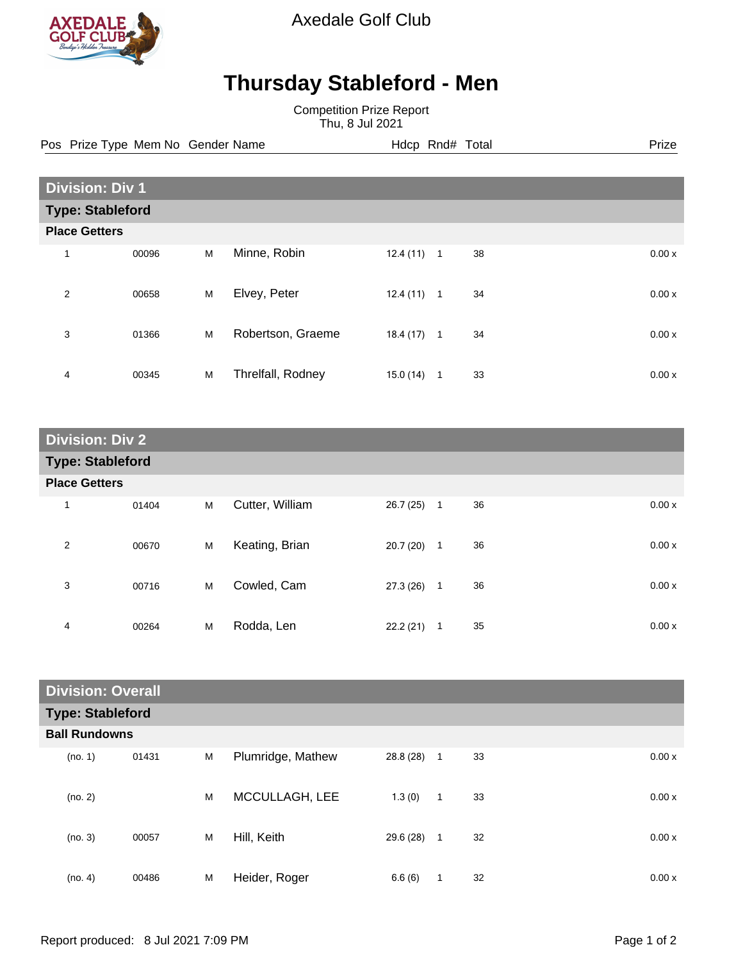

Axedale Golf Club

## **Thursday Stableford - Men**

Competition Prize Report Thu, 8 Jul 2021

Pos Prize Type Mem No Gender Name **Hdcp Rnd# Total** Prize Prize

|                         | <b>Division: Div 1</b> |   |                   |           |                |    |       |  |
|-------------------------|------------------------|---|-------------------|-----------|----------------|----|-------|--|
| <b>Type: Stableford</b> |                        |   |                   |           |                |    |       |  |
|                         | <b>Place Getters</b>   |   |                   |           |                |    |       |  |
| 1                       | 00096                  | M | Minne, Robin      | 12.4 (11) | $\overline{1}$ | 38 | 0.00x |  |
| $\overline{2}$          | 00658                  | M | Elvey, Peter      | 12.4 (11) | $\mathbf{1}$   | 34 | 0.00x |  |
| 3                       | 01366                  | M | Robertson, Graeme | 18.4(17)  | $\overline{1}$ | 34 | 0.00x |  |
| 4                       | 00345                  | M | Threlfall, Rodney | 15.0 (14) | $\mathbf 1$    | 33 | 0.00x |  |

| <b>Division: Div 2</b>  |       |   |                 |          |                |             |  |
|-------------------------|-------|---|-----------------|----------|----------------|-------------|--|
| <b>Type: Stableford</b> |       |   |                 |          |                |             |  |
| <b>Place Getters</b>    |       |   |                 |          |                |             |  |
| 1                       | 01404 | M | Cutter, William | 26.7(25) | $\overline{1}$ | 36<br>0.00x |  |
| $\overline{2}$          | 00670 | M | Keating, Brian  | 20.7(20) | 1              | 36<br>0.00x |  |
| 3                       | 00716 | M | Cowled, Cam     | 27.3(26) | $\mathbf{1}$   | 36<br>0.00x |  |
| 4                       | 00264 | M | Rodda, Len      | 22.2(21) | 1              | 35<br>0.00x |  |

| <b>Division: Overall</b> |       |   |                   |           |              |    |  |       |
|--------------------------|-------|---|-------------------|-----------|--------------|----|--|-------|
| <b>Type: Stableford</b>  |       |   |                   |           |              |    |  |       |
| <b>Ball Rundowns</b>     |       |   |                   |           |              |    |  |       |
| (no. 1)                  | 01431 | M | Plumridge, Mathew | 28.8 (28) | 1            | 33 |  | 0.00x |
| (no. 2)                  |       | M | MCCULLAGH, LEE    | 1.3(0)    | $\mathbf{1}$ | 33 |  | 0.00x |
| (no. 3)                  | 00057 | M | Hill, Keith       | 29.6 (28) | $\mathbf{1}$ | 32 |  | 0.00x |
| (no. 4)                  | 00486 | M | Heider, Roger     | 6.6(6)    | 1            | 32 |  | 0.00x |